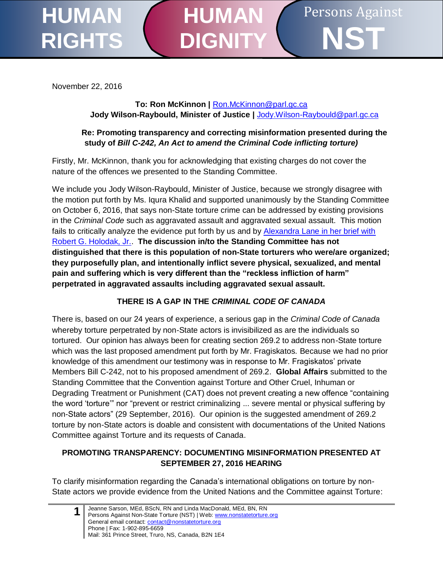#### Persons Against **NST HUMAN RIGHTS HUMAN DIGNI**

November 22, 2016

### **To: Ron McKinnon |** [Ron.McKinnon@parl.gc.ca](mailto:Ron.McKinnon@parl.gc.ca) **Jody Wilson-Raybould, Minister of Justice |** [Jody.Wilson-Raybould@parl.gc.ca](mailto:Jody.Wilson-Raybould@parl.gc.ca)

### **Re: Promoting transparency and correcting misinformation presented during the study of** *Bill C-242, An Act to amend the Criminal Code inflicting torture)*

Firstly, Mr. McKinnon, thank you for acknowledging that existing charges do not cover the nature of the offences we presented to the Standing Committee.

We include you Jody Wilson-Raybould, Minister of Justice, because we strongly disagree with the motion put forth by Ms. Iqura Khalid and supported unanimously by the Standing Committee on October 6, 2016, that says non-State torture crime can be addressed by existing provisions in the *Criminal Code* such as aggravated assault and aggravated sexual assault. This motion fails to critically analyze the evidence put forth by us and by Alexandra [Lane in her brief with](http://www.parl.gc.ca/Content/HOC/Committee/421/JUST/Brief/BR8406577/br-external/LaneAlexandra-e.pdf)  [Robert G. Holodak, Jr..](http://www.parl.gc.ca/Content/HOC/Committee/421/JUST/Brief/BR8406577/br-external/LaneAlexandra-e.pdf) **The discussion in/to the Standing Committee has not distinguished that there is this population of non-State torturers who were/are organized; they purposefully plan, and intentionally inflict severe physical, sexualized, and mental pain and suffering which is very different than the "reckless infliction of harm" perpetrated in aggravated assaults including aggravated sexual assault.**

# **THERE IS A GAP IN THE** *CRIMINAL CODE OF CANADA*

There is, based on our 24 years of experience, a serious gap in the *Criminal Code of Canada* whereby torture perpetrated by non-State actors is invisibilized as are the individuals so tortured. Our opinion has always been for creating section 269.2 to address non-State torture which was the last proposed amendment put forth by Mr. Fragiskatos. Because we had no prior knowledge of this amendment our testimony was in response to Mr. Fragiskatos' private Members Bill C-242, not to his proposed amendment of 269.2. **Global Affairs** submitted to the Standing Committee that the Convention against Torture and Other Cruel, Inhuman or Degrading Treatment or Punishment (CAT) does not prevent creating a new offence "containing the word 'torture'" nor "prevent or restrict criminalizing ... severe mental or physical suffering by non-State actors" (29 September, 2016). Our opinion is the suggested amendment of 269.2 torture by non-State actors is doable and consistent with documentations of the United Nations Committee against Torture and its requests of Canada.

### **PROMOTING TRANSPARENCY: DOCUMENTING MISINFORMATION PRESENTED AT SEPTEMBER 27, 2016 HEARING**

To clarify misinformation regarding the Canada's international obligations on torture by non-State actors we provide evidence from the United Nations and the Committee against Torture:

**1** Jeanne Sarson, MEd, BScN, RN and Linda MacDonald, MEd, BN, RN Persons Against Non-State Torture (NST) | Web: www.nonstatetorture.org General email contact: contact@nonstatetorture.org Phone | Fax: 1-902-895-6659 Mail: 361 Prince Street, Truro, NS, Canada, B2N 1E4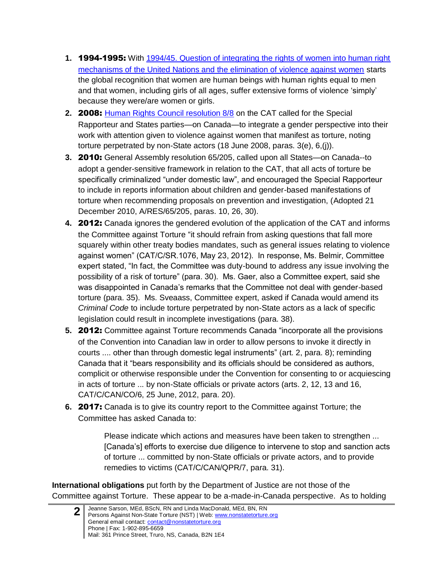- **1.** 1994-1995: With [1994/45. Question of integrating the rights of women into human right](http://www.un.org/womenwatch/daw/vaw/v-hrc.htm)  [mechanisms of the United Nations and the elimination of violence against women](http://www.un.org/womenwatch/daw/vaw/v-hrc.htm) starts the global recognition that women are human beings with human rights equal to men and that women, including girls of all ages, suffer extensive forms of violence 'simply' because they were/are women or girls.
- **2.** 2008: [Human Rights Council resolution 8/8](http://ap.ohchr.org/Documents/E/HRC/resolutions/A_HRC_RES_8_8.pdf) on the CAT called for the Special Rapporteur and States parties—on Canada—to integrate a gender perspective into their work with attention given to violence against women that manifest as torture, noting torture perpetrated by non-State actors (18 June 2008, paras. 3(e), 6,(j)).
- **3.** 2010: General Assembly resolution 65/205, called upon all States—on Canada--to adopt a gender-sensitive framework in relation to the CAT, that all acts of torture be specifically criminalized "under domestic law", and encouraged the Special Rapporteur to include in reports information about children and gender-based manifestations of torture when recommending proposals on prevention and investigation, (Adopted 21 December 2010, A/RES/65/205, paras. 10, 26, 30).
- **4.** 2012: Canada ignores the gendered evolution of the application of the CAT and informs the Committee against Torture "it should refrain from asking questions that fall more squarely within other treaty bodies mandates, such as general issues relating to violence against women" (CAT/C/SR.1076, May 23, 2012). In response, Ms. Belmir, Committee expert stated, "In fact, the Committee was duty-bound to address any issue involving the possibility of a risk of torture" (para. 30). Ms. Gaer, also a Committee expert, said she was disappointed in Canada's remarks that the Committee not deal with gender-based torture (para. 35). Ms. Sveaass, Committee expert, asked if Canada would amend its *Criminal Code* to include torture perpetrated by non-State actors as a lack of specific legislation could result in incomplete investigations (para. 38).
- **5.** 2012: Committee against Torture recommends Canada "incorporate all the provisions of the Convention into Canadian law in order to allow persons to invoke it directly in courts .... other than through domestic legal instruments" (art. 2, para. 8); reminding Canada that it "bears responsibility and its officials should be considered as authors, complicit or otherwise responsible under the Convention for consenting to or acquiescing in acts of torture ... by non-State officials or private actors (arts. 2, 12, 13 and 16, CAT/C/CAN/CO/6, 25 June, 2012, para. 20).
- **6.** 2017: Canada is to give its country report to the Committee against Torture; the Committee has asked Canada to:

Please indicate which actions and measures have been taken to strengthen ... [Canada's] efforts to exercise due diligence to intervene to stop and sanction acts of torture ... committed by non-State officials or private actors, and to provide remedies to victims (CAT/C/CAN/QPR/7, para. 31).

**International obligations** put forth by the Department of Justice are not those of the Committee against Torture. These appear to be a-made-in-Canada perspective. As to holding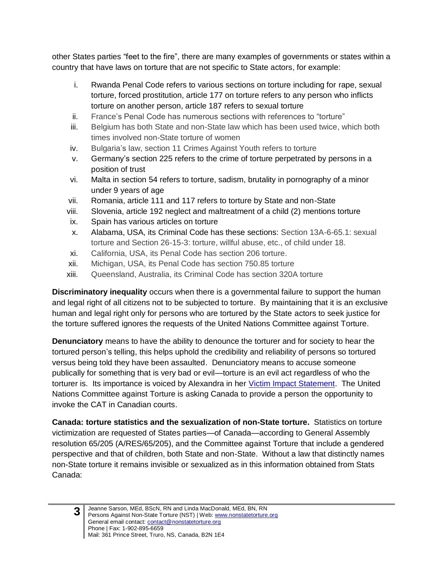other States parties "feet to the fire", there are many examples of governments or states within a country that have laws on torture that are not specific to State actors, for example:

- i. Rwanda Penal Code refers to various sections on torture including for rape, sexual torture, forced prostitution, article 177 on torture refers to any person who inflicts torture on another person, article 187 refers to sexual torture
- ii. France's Penal Code has numerous sections with references to "torture"
- iii. Belgium has both State and non-State law which has been used twice, which both times involved non-State torture of women
- iv. Bulgaria's law, section 11 Crimes Against Youth refers to torture
- v. Germany's section 225 refers to the crime of torture perpetrated by persons in a position of trust
- vi. Malta in section 54 refers to torture, sadism, brutality in pornography of a minor under 9 years of age
- vii. Romania, article 111 and 117 refers to torture by State and non-State
- viii. Slovenia, article 192 neglect and maltreatment of a child (2) mentions torture
- ix. Spain has various articles on torture
- x. Alabama, USA, its Criminal Code has these sections: Section 13A-6-65.1: sexual torture and Section 26-15-3: torture, willful abuse, etc., of child under 18.
- xi. California, USA, its Penal Code has section 206 torture.
- xii. Michigan, USA, its Penal Code has section 750.85 torture
- xiii. Queensland, Australia, its Criminal Code has section 320A torture

**Discriminatory inequality** occurs when there is a governmental failure to support the human and legal right of all citizens not to be subjected to torture. By maintaining that it is an exclusive human and legal right only for persons who are tortured by the State actors to seek justice for the torture suffered ignores the requests of the United Nations Committee against Torture.

**Denunciatory** means to have the ability to denounce the torturer and for society to hear the tortured person's telling, this helps uphold the credibility and reliability of persons so tortured versus being told they have been assaulted. Denunciatory means to accuse someone publically for something that is very bad or evil—torture is an evil act regardless of who the torturer is. Its importance is voiced by Alexandra in her [Victim Impact Statement.](http://www.parl.gc.ca/Content/HOC/Committee/421/JUST/Brief/BR8486871/br-external/LaneAlexandra-2016-10-15-e.pdf) The United Nations Committee against Torture is asking Canada to provide a person the opportunity to invoke the CAT in Canadian courts.

**Canada: torture statistics and the sexualization of non-State torture.** Statistics on torture victimization are requested of States parties—of Canada—according to General Assembly resolution 65/205 (A/RES/65/205), and the Committee against Torture that include a gendered perspective and that of children, both State and non-State. Without a law that distinctly names non-State torture it remains invisible or sexualized as in this information obtained from Stats Canada:

**<sup>3</sup>**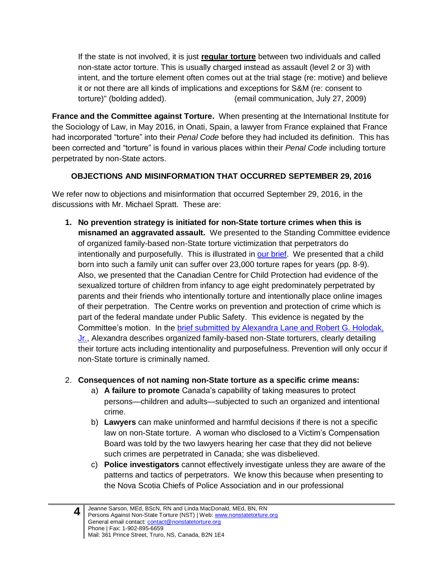If the state is not involved, it is just **regular torture** between two individuals and called non-state actor torture. This is usually charged instead as assault (level 2 or 3) with intent, and the torture element often comes out at the trial stage (re: motive) and believe it or not there are all kinds of implications and exceptions for S&M (re: consent to torture)" (bolding added). (email communication, July 27, 2009)

**France and the Committee against Torture.** When presenting at the International Institute for the Sociology of Law, in May 2016, in Onati, Spain, a lawyer from France explained that France had incorporated "torture" into their *Penal Code* before they had included its definition. This has been corrected and "torture" is found in various places within their *Penal Code* including torture perpetrated by non-State actors.

# **OBJECTIONS AND MISINFORMATION THAT OCCURRED SEPTEMBER 29, 2016**

We refer now to objections and misinformation that occurred September 29, 2016, in the discussions with Mr. Michael Spratt. These are:

**1. No prevention strategy is initiated for non-State torture crimes when this is misnamed an aggravated assault.** We presented to the Standing Committee evidence of organized family-based non-State torture victimization that perpetrators do intentionally and purposefully. This is illustrated in [our brief.](http://www.parl.gc.ca/Content/HOC/Committee/421/JUST/Brief/BR8333085/br-external/SarsonJeanne-e.pdf) We presented that a child born into such a family unit can suffer over 23,000 torture rapes for years (pp. 8-9). Also, we presented that the Canadian Centre for Child Protection had evidence of the sexualized torture of children from infancy to age eight predominately perpetrated by parents and their friends who intentionally torture and intentionally place online images of their perpetration. The Centre works on prevention and protection of crime which is part of the federal mandate under Public Safety. This evidence is negated by the Committee's motion. In the brief submitted by Alexandra [Lane and Robert G. Holodak,](http://www.parl.gc.ca/Content/HOC/Committee/421/JUST/Brief/BR8406577/br-external/LaneAlexandra-e.pdf)  [Jr.,](http://www.parl.gc.ca/Content/HOC/Committee/421/JUST/Brief/BR8406577/br-external/LaneAlexandra-e.pdf) Alexandra describes organized family-based non-State torturers, clearly detailing their torture acts including intentionality and purposefulness. Prevention will only occur if non-State torture is criminally named.

# 2. **Consequences of not naming non-State torture as a specific crime means:**

- a) **A failure to promote** Canada's capability of taking measures to protect persons—children and adults—subjected to such an organized and intentional crime.
- b) **Lawyers** can make uninformed and harmful decisions if there is not a specific law on non-State torture. A woman who disclosed to a Victim's Compensation Board was told by the two lawyers hearing her case that they did not believe such crimes are perpetrated in Canada; she was disbelieved.
- c) **Police investigators** cannot effectively investigate unless they are aware of the patterns and tactics of perpetrators. We know this because when presenting to the Nova Scotia Chiefs of Police Association and in our professional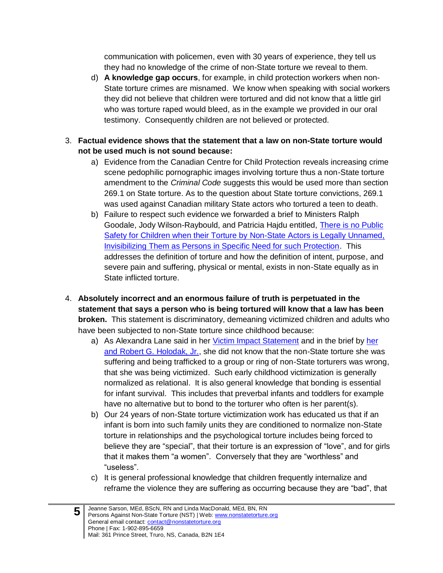communication with policemen, even with 30 years of experience, they tell us they had no knowledge of the crime of non-State torture we reveal to them.

- d) **A knowledge gap occurs**, for example, in child protection workers when non-State torture crimes are misnamed. We know when speaking with social workers they did not believe that children were tortured and did not know that a little girl who was torture raped would bleed, as in the example we provided in our oral testimony. Consequently children are not believed or protected.
- 3. **Factual evidence shows that the statement that a law on non-State torture would not be used much is not sound because:** 
	- a) Evidence from the Canadian Centre for Child Protection reveals increasing crime scene pedophilic pornographic images involving torture thus a non-State torture amendment to the *Criminal Code* suggests this would be used more than section 269.1 on State torture. As to the question about State torture convictions, 269.1 was used against Canadian military State actors who tortured a teen to death.
	- b) Failure to respect such evidence we forwarded a brief to Ministers Ralph Goodale, Jody Wilson-Raybould, and Patricia Hajdu entitled, [There is no Public](http://nonstatetorture.org/files/6914/7887/9363/Nopublicsafetychildren.pdf)  [Safety for Children when their Torture by Non-State Actors is Legally Unnamed,](http://nonstatetorture.org/files/6914/7887/9363/Nopublicsafetychildren.pdf)  [Invisibilizing Them as Persons in Specific Need for such Protection.](http://nonstatetorture.org/files/6914/7887/9363/Nopublicsafetychildren.pdf) This addresses the definition of torture and how the definition of intent, purpose, and severe pain and suffering, physical or mental, exists in non-State equally as in State inflicted torture.
- 4. **Absolutely incorrect and an enormous failure of truth is perpetuated in the statement that says a person who is being tortured will know that a law has been broken.** This statement is discriminatory, demeaning victimized children and adults who have been subjected to non-State torture since childhood because:
	- a) As Alexandra Lane said in her [Victim Impact Statement](http://www.parl.gc.ca/Content/HOC/Committee/421/JUST/Brief/BR8486871/br-external/LaneAlexandra-2016-10-15-e.pdf) and in the brief by [her](http://www.parl.gc.ca/Content/HOC/Committee/421/JUST/Brief/BR8406577/br-external/LaneAlexandra-e.pdf)  [and Robert G. Holodak, Jr.,](http://www.parl.gc.ca/Content/HOC/Committee/421/JUST/Brief/BR8406577/br-external/LaneAlexandra-e.pdf) she did not know that the non-State torture she was suffering and being trafficked to a group or ring of non-State torturers was wrong, that she was being victimized. Such early childhood victimization is generally normalized as relational. It is also general knowledge that bonding is essential for infant survival. This includes that preverbal infants and toddlers for example have no alternative but to bond to the torturer who often is her parent(s).
	- b) Our 24 years of non-State torture victimization work has educated us that if an infant is born into such family units they are conditioned to normalize non-State torture in relationships and the psychological torture includes being forced to believe they are "special", that their torture is an expression of "love", and for girls that it makes them "a women". Conversely that they are "worthless" and "useless".
	- c) It is general professional knowledge that children frequently internalize and reframe the violence they are suffering as occurring because they are "bad", that

**5**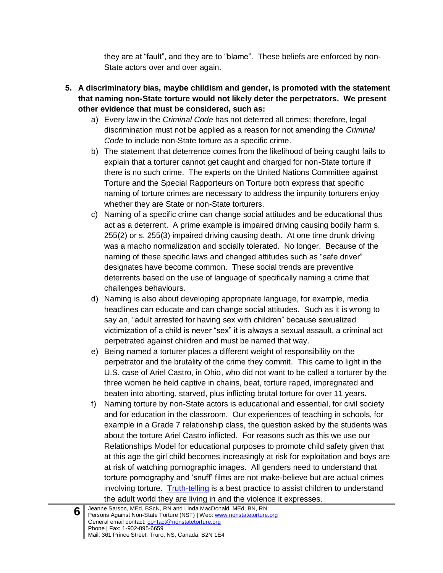they are at "fault", and they are to "blame". These beliefs are enforced by non-State actors over and over again.

- **5. A discriminatory bias, maybe childism and gender, is promoted with the statement that naming non-State torture would not likely deter the perpetrators. We present other evidence that must be considered, such as:**
	- a) Every law in the *Criminal Code* has not deterred all crimes; therefore, legal discrimination must not be applied as a reason for not amending the *Criminal Code* to include non-State torture as a specific crime.
	- b) The statement that deterrence comes from the likelihood of being caught fails to explain that a torturer cannot get caught and charged for non-State torture if there is no such crime. The experts on the United Nations Committee against Torture and the Special Rapporteurs on Torture both express that specific naming of torture crimes are necessary to address the impunity torturers enjoy whether they are State or non-State torturers.
	- c) Naming of a specific crime can change social attitudes and be educational thus act as a deterrent. A prime example is impaired driving causing bodily harm s. 255(2) or s. 255(3) impaired driving causing death. At one time drunk driving was a macho normalization and socially tolerated. No longer. Because of the naming of these specific laws and changed attitudes such as "safe driver" designates have become common. These social trends are preventive deterrents based on the use of language of specifically naming a crime that challenges behaviours.
	- d) Naming is also about developing appropriate language, for example, media headlines can educate and can change social attitudes. Such as it is wrong to say an, "adult arrested for having sex with children" because sexualized victimization of a child is never "sex" it is always a sexual assault, a criminal act perpetrated against children and must be named that way.
	- e) Being named a torturer places a different weight of responsibility on the perpetrator and the brutality of the crime they commit. This came to light in the U.S. case of Ariel Castro, in Ohio, who did not want to be called a torturer by the three women he held captive in chains, beat, torture raped, impregnated and beaten into aborting, starved, plus inflicting brutal torture for over 11 years.
	- f) Naming torture by non-State actors is educational and essential, for civil society and for education in the classroom. Our experiences of teaching in schools, for example in a Grade 7 relationship class, the question asked by the students was about the torture Ariel Castro inflicted. For reasons such as this we use our Relationships Model for educational purposes to promote child safety given that at this age the girl child becomes increasingly at risk for exploitation and boys are at risk of watching pornographic images. All genders need to understand that torture pornography and 'snuff' films are not make-believe but are actual crimes involving torture. [Truth-telling](http://www.parl.gc.ca/Content/HOC/Committee/421/FEWO/Brief/BR8391525/br-external/PersonsAgainstNon-StateTorture-e.pdf) is a best practice to assist children to understand the adult world they are living in and the violence it expresses.

**6**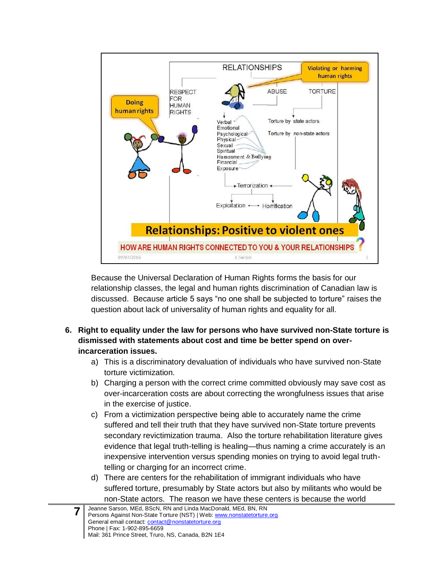

Because the Universal Declaration of Human Rights forms the basis for our relationship classes, the legal and human rights discrimination of Canadian law is discussed. Because article 5 says "no one shall be subjected to torture" raises the question about lack of universality of human rights and equality for all.

#### **6. Right to equality under the law for persons who have survived non-State torture is dismissed with statements about cost and time be better spend on overincarceration issues.**

- a) This is a discriminatory devaluation of individuals who have survived non-State torture victimization.
- b) Charging a person with the correct crime committed obviously may save cost as over-incarceration costs are about correcting the wrongfulness issues that arise in the exercise of justice.
- c) From a victimization perspective being able to accurately name the crime suffered and tell their truth that they have survived non-State torture prevents secondary revictimization trauma. Also the torture rehabilitation literature gives evidence that legal truth-telling is healing—thus naming a crime accurately is an inexpensive intervention versus spending monies on trying to avoid legal truthtelling or charging for an incorrect crime.
- d) There are centers for the rehabilitation of immigrant individuals who have suffered torture, presumably by State actors but also by militants who would be non-State actors. The reason we have these centers is because the world

**7**